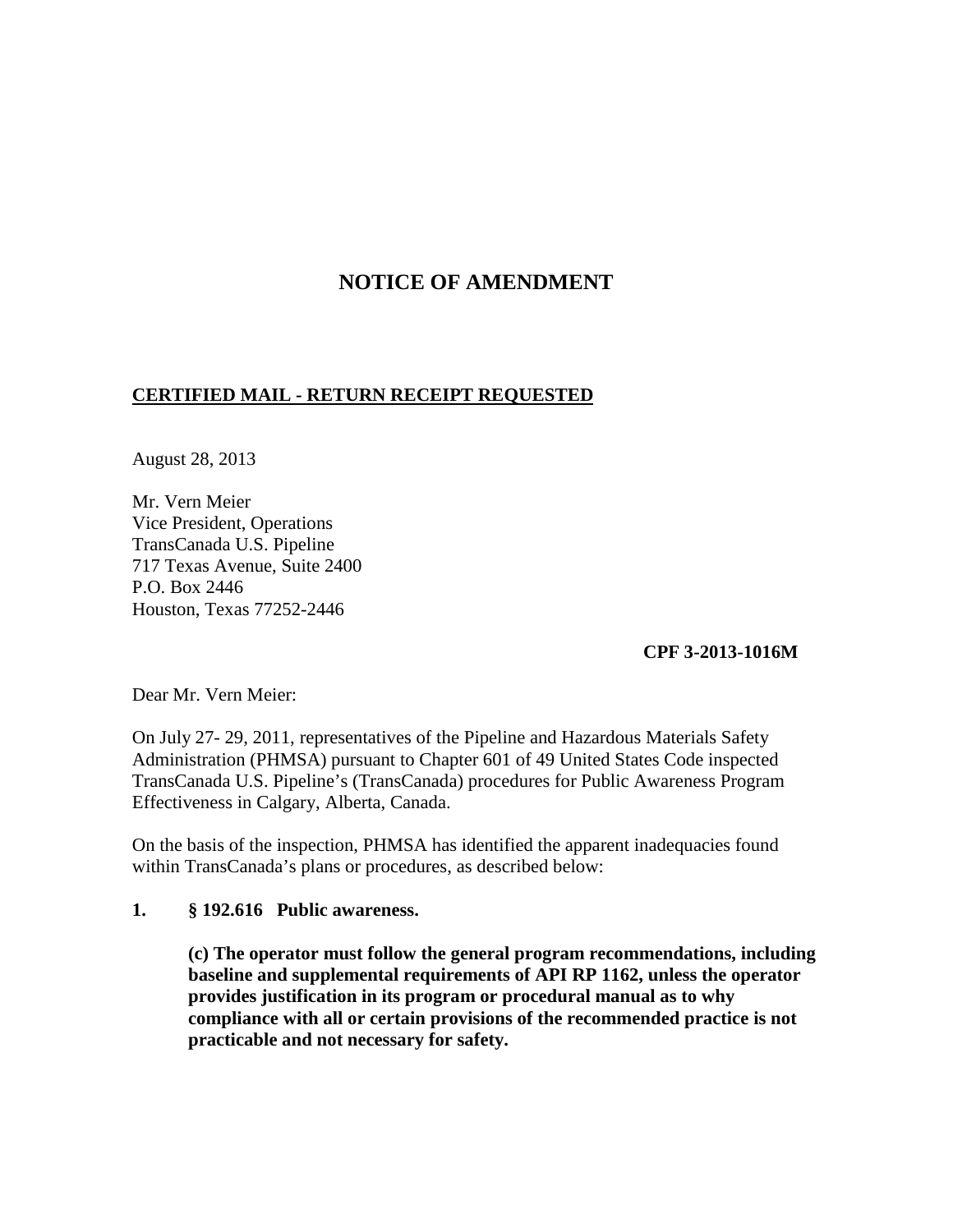# **NOTICE OF AMENDMENT**

### **CERTIFIED MAIL - RETURN RECEIPT REQUESTED**

August 28, 2013

Mr. Vern Meier Vice President, Operations TransCanada U.S. Pipeline 717 Texas Avenue, Suite 2400 P.O. Box 2446 Houston, Texas 77252-2446

### **CPF 3-2013-1016M**

Dear Mr. Vern Meier:

On July 27- 29, 2011, representatives of the Pipeline and Hazardous Materials Safety Administration (PHMSA) pursuant to Chapter 601 of 49 United States Code inspected TransCanada U.S. Pipeline's (TransCanada) procedures for Public Awareness Program Effectiveness in Calgary, Alberta, Canada.

On the basis of the inspection, PHMSA has identified the apparent inadequacies found within TransCanada's plans or procedures, as described below:

### **1. § 192.616 Public awareness.**

**(c) The operator must follow the general program recommendations, including baseline and supplemental requirements of API RP 1162, unless the operator provides justification in its program or procedural manual as to why compliance with all or certain provisions of the recommended practice is not practicable and not necessary for safety.**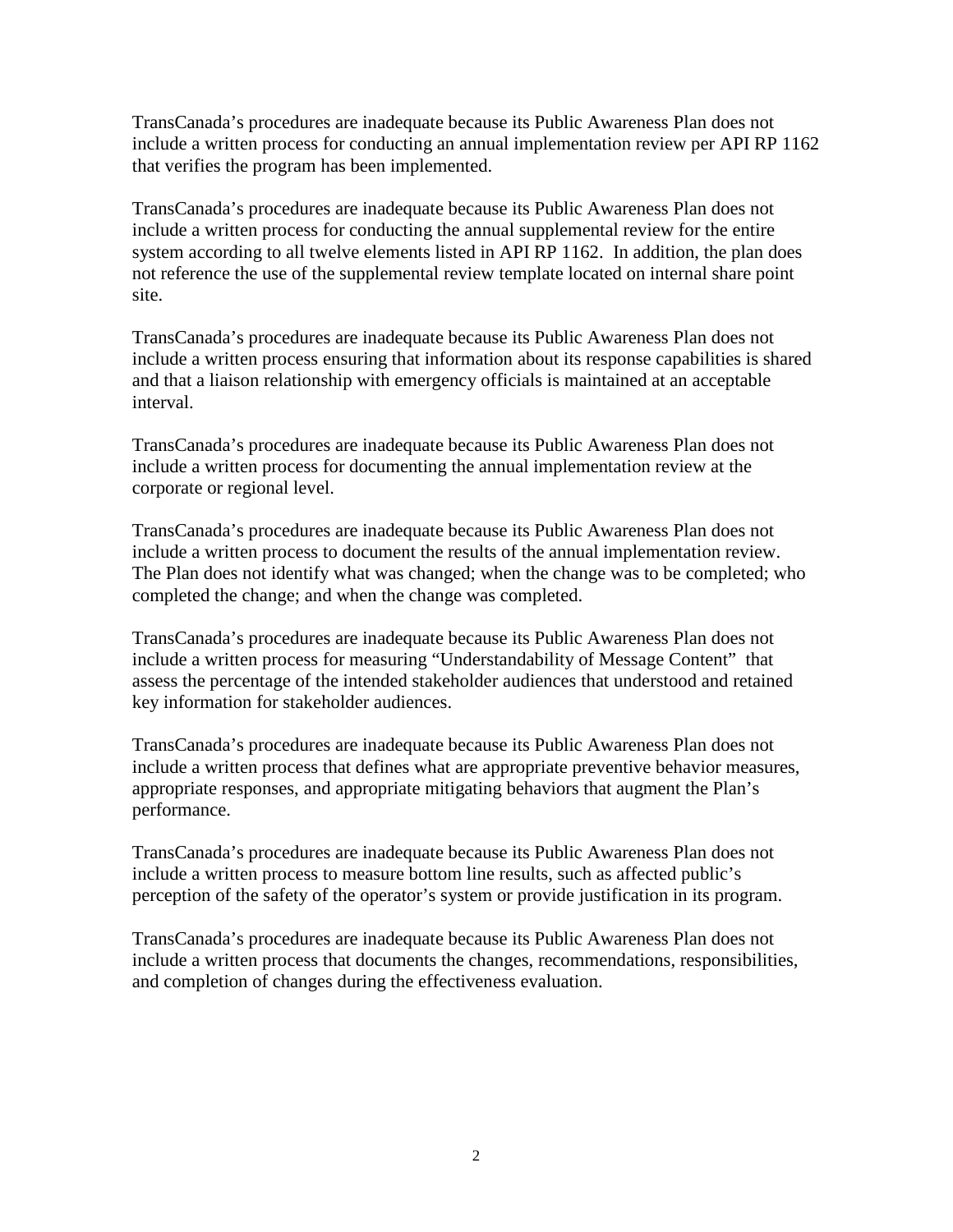TransCanada's procedures are inadequate because its Public Awareness Plan does not include a written process for conducting an annual implementation review per API RP 1162 that verifies the program has been implemented.

TransCanada's procedures are inadequate because its Public Awareness Plan does not include a written process for conducting the annual supplemental review for the entire system according to all twelve elements listed in API RP 1162. In addition, the plan does not reference the use of the supplemental review template located on internal share point site.

TransCanada's procedures are inadequate because its Public Awareness Plan does not include a written process ensuring that information about its response capabilities is shared and that a liaison relationship with emergency officials is maintained at an acceptable interval.

TransCanada's procedures are inadequate because its Public Awareness Plan does not include a written process for documenting the annual implementation review at the corporate or regional level.

TransCanada's procedures are inadequate because its Public Awareness Plan does not include a written process to document the results of the annual implementation review. The Plan does not identify what was changed; when the change was to be completed; who completed the change; and when the change was completed.

TransCanada's procedures are inadequate because its Public Awareness Plan does not include a written process for measuring "Understandability of Message Content" that assess the percentage of the intended stakeholder audiences that understood and retained key information for stakeholder audiences.

TransCanada's procedures are inadequate because its Public Awareness Plan does not include a written process that defines what are appropriate preventive behavior measures, appropriate responses, and appropriate mitigating behaviors that augment the Plan's performance.

TransCanada's procedures are inadequate because its Public Awareness Plan does not include a written process to measure bottom line results, such as affected public's perception of the safety of the operator's system or provide justification in its program.

TransCanada's procedures are inadequate because its Public Awareness Plan does not include a written process that documents the changes, recommendations, responsibilities, and completion of changes during the effectiveness evaluation.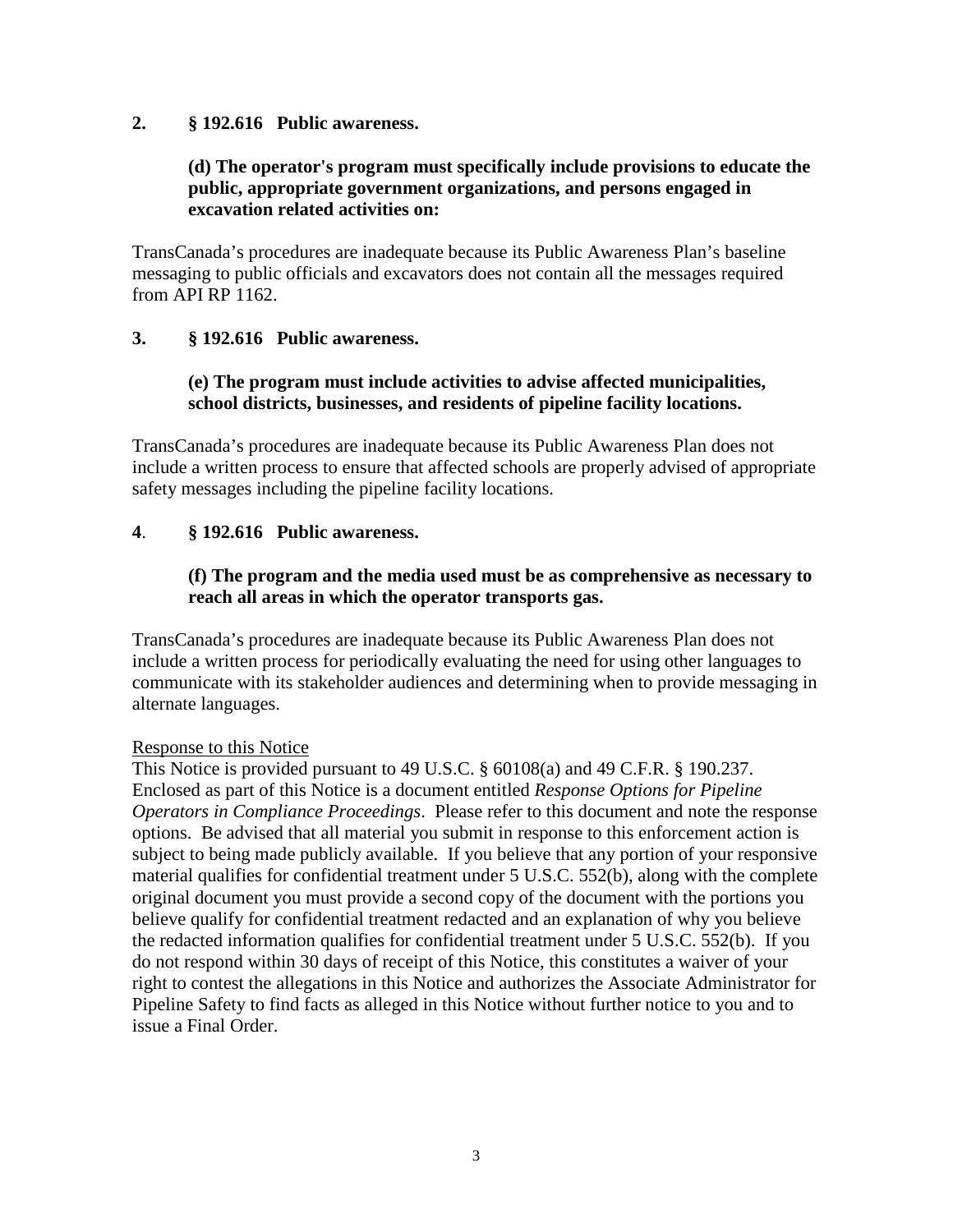### **2. § 192.616 Public awareness.**

# **(d) The operator's program must specifically include provisions to educate the public, appropriate government organizations, and persons engaged in excavation related activities on:**

TransCanada's procedures are inadequate because its Public Awareness Plan's baseline messaging to public officials and excavators does not contain all the messages required from API RP 1162.

# **3. § 192.616 Public awareness.**

## **(e) The program must include activities to advise affected municipalities, school districts, businesses, and residents of pipeline facility locations.**

TransCanada's procedures are inadequate because its Public Awareness Plan does not include a written process to ensure that affected schools are properly advised of appropriate safety messages including the pipeline facility locations.

# **4**. **§ 192.616 Public awareness.**

## **(f) The program and the media used must be as comprehensive as necessary to reach all areas in which the operator transports gas.**

TransCanada's procedures are inadequate because its Public Awareness Plan does not include a written process for periodically evaluating the need for using other languages to communicate with its stakeholder audiences and determining when to provide messaging in alternate languages.

### Response to this Notice

This Notice is provided pursuant to 49 U.S.C. § 60108(a) and 49 C.F.R. § 190.237. Enclosed as part of this Notice is a document entitled *Response Options for Pipeline Operators in Compliance Proceedings*. Please refer to this document and note the response options. Be advised that all material you submit in response to this enforcement action is subject to being made publicly available. If you believe that any portion of your responsive material qualifies for confidential treatment under 5 U.S.C. 552(b), along with the complete original document you must provide a second copy of the document with the portions you believe qualify for confidential treatment redacted and an explanation of why you believe the redacted information qualifies for confidential treatment under 5 U.S.C. 552(b). If you do not respond within 30 days of receipt of this Notice, this constitutes a waiver of your right to contest the allegations in this Notice and authorizes the Associate Administrator for Pipeline Safety to find facts as alleged in this Notice without further notice to you and to issue a Final Order.